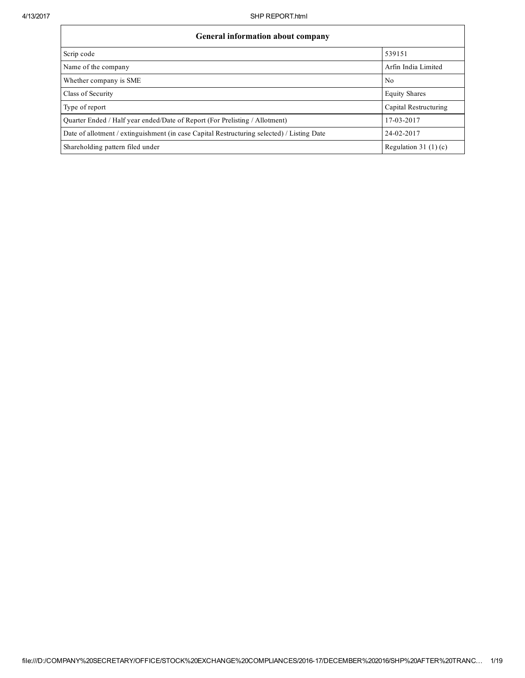| General information about company                                                          |                        |  |  |  |  |  |  |  |
|--------------------------------------------------------------------------------------------|------------------------|--|--|--|--|--|--|--|
| Scrip code                                                                                 | 539151                 |  |  |  |  |  |  |  |
| Name of the company                                                                        | Arfin India Limited    |  |  |  |  |  |  |  |
| Whether company is SME                                                                     | N <sub>0</sub>         |  |  |  |  |  |  |  |
| Class of Security                                                                          | <b>Equity Shares</b>   |  |  |  |  |  |  |  |
| Type of report                                                                             | Capital Restructuring  |  |  |  |  |  |  |  |
| Quarter Ended / Half year ended/Date of Report (For Prelisting / Allotment)                | 17-03-2017             |  |  |  |  |  |  |  |
| Date of allotment / extinguishment (in case Capital Restructuring selected) / Listing Date | 24-02-2017             |  |  |  |  |  |  |  |
| Shareholding pattern filed under                                                           | Regulation 31 $(1)(c)$ |  |  |  |  |  |  |  |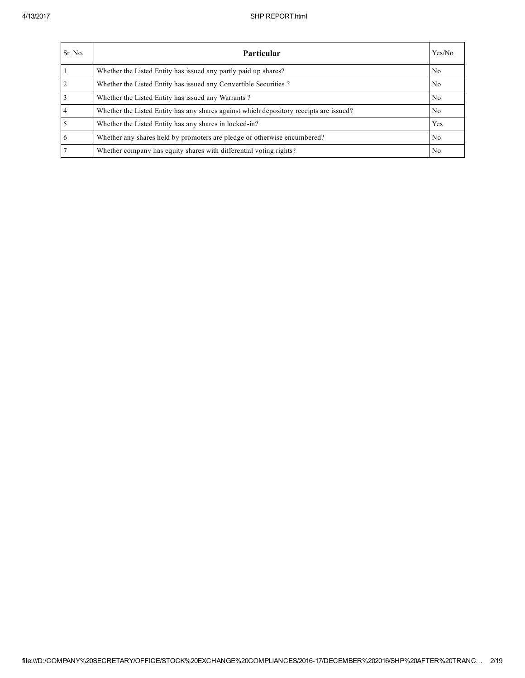| Sr. No.        | Particular                                                                             | Yes/No         |
|----------------|----------------------------------------------------------------------------------------|----------------|
|                | Whether the Listed Entity has issued any partly paid up shares?                        | No.            |
| $\overline{2}$ | Whether the Listed Entity has issued any Convertible Securities?                       | N <sub>0</sub> |
| 3              | Whether the Listed Entity has issued any Warrants?                                     | N <sub>0</sub> |
|                | Whether the Listed Entity has any shares against which depository receipts are issued? | No.            |
|                | Whether the Listed Entity has any shares in locked-in?                                 | Yes            |
| 6              | Whether any shares held by promoters are pledge or otherwise encumbered?               | N <sub>0</sub> |
|                | Whether company has equity shares with differential voting rights?                     | No             |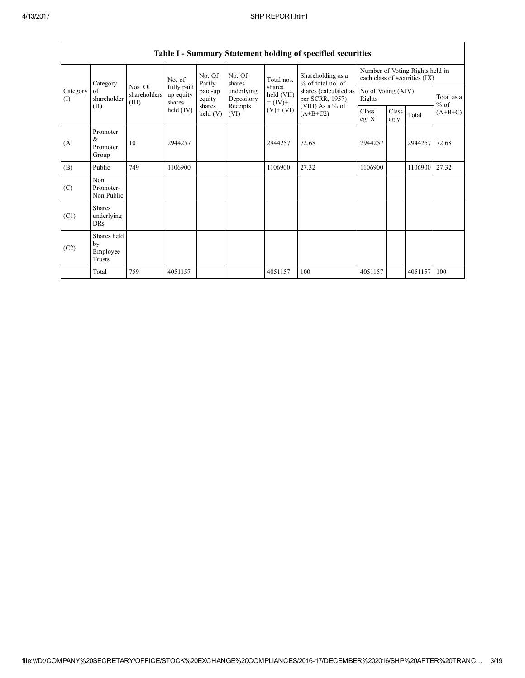|                 | summary statement norum, or specified securities |                                  |                                             |                    |                          |                                    |                                          |                                                                  |               |         |                      |  |  |  |
|-----------------|--------------------------------------------------|----------------------------------|---------------------------------------------|--------------------|--------------------------|------------------------------------|------------------------------------------|------------------------------------------------------------------|---------------|---------|----------------------|--|--|--|
|                 | Category                                         |                                  | No. of<br>fully paid<br>up equity<br>shares | No. Of<br>Partly   | No. Of<br>shares         | Total nos.                         | Shareholding as a<br>% of total no. of   | Number of Voting Rights held in<br>each class of securities (IX) |               |         |                      |  |  |  |
| Category<br>(I) | of<br>shareholder                                | Nos. Of<br>shareholders<br>(III) |                                             | paid-up<br>equity  | underlying<br>Depository | shares<br>held (VII)<br>$= (IV) +$ | shares (calculated as<br>per SCRR, 1957) | No of Voting (XIV)<br>Rights                                     |               |         | Total as a<br>$%$ of |  |  |  |
| (II)            |                                                  |                                  | held $(IV)$                                 | shares<br>held (V) | Receipts<br>(VI)         | $(V)$ + $(VI)$                     | (VIII) As a % of<br>$(A+B+C2)$           | Class<br>eg: $X$                                                 | Class<br>eg:y | Total   | $(A+B+C)$            |  |  |  |
| (A)             | Promoter<br>&<br>Promoter<br>Group               | 10                               | 2944257                                     |                    |                          | 2944257                            | 72.68                                    | 2944257                                                          |               | 2944257 | 72.68                |  |  |  |
| (B)             | Public                                           | 749                              | 1106900                                     |                    |                          | 1106900                            | 27.32                                    | 1106900                                                          |               | 1106900 | 27.32                |  |  |  |
| (C)             | Non<br>Promoter-<br>Non Public                   |                                  |                                             |                    |                          |                                    |                                          |                                                                  |               |         |                      |  |  |  |
| (C1)            | <b>Shares</b><br>underlying<br><b>DRs</b>        |                                  |                                             |                    |                          |                                    |                                          |                                                                  |               |         |                      |  |  |  |
| (C2)            | Shares held<br>by<br>Employee<br>Trusts          |                                  |                                             |                    |                          |                                    |                                          |                                                                  |               |         |                      |  |  |  |
|                 | Total                                            | 759                              | 4051157                                     |                    |                          | 4051157                            | 100                                      | 4051157                                                          |               | 4051157 | 100                  |  |  |  |

## Table I - Summary Statement holding of specified securities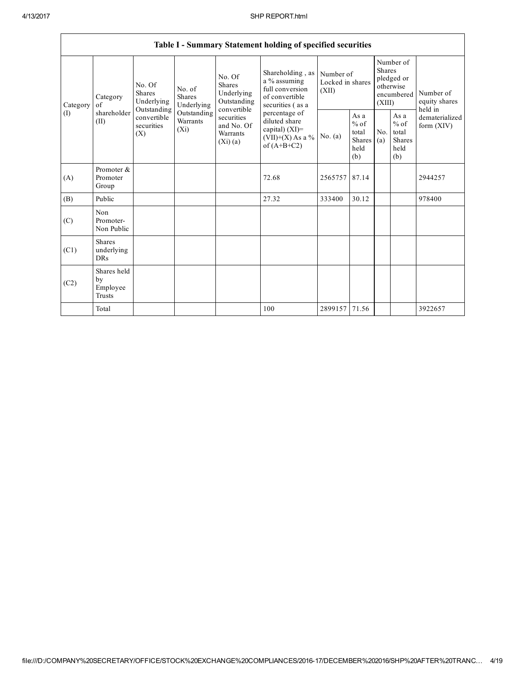**r** 

|                 | Table I - Summary Statement holding of specified securities |                                                                                                     |                                       |                                                                                                                 |                                                                                                                                                                                         |                                        |                                                         |                                                                        |                                                  |                                       |  |  |  |
|-----------------|-------------------------------------------------------------|-----------------------------------------------------------------------------------------------------|---------------------------------------|-----------------------------------------------------------------------------------------------------------------|-----------------------------------------------------------------------------------------------------------------------------------------------------------------------------------------|----------------------------------------|---------------------------------------------------------|------------------------------------------------------------------------|--------------------------------------------------|---------------------------------------|--|--|--|
| Category<br>(1) | Category<br>of<br>shareholder<br>(II)                       | No. Of<br><b>Shares</b><br>Underlying<br>Outstanding<br>convertible<br>securities<br>$(X_i)$<br>(X) | No. of<br><b>Shares</b><br>Underlying | No. Of<br>Shares<br>Underlying<br>Outstanding<br>convertible<br>securities<br>and No. Of<br>Warrants<br>(Xi)(a) | Shareholding, as<br>a % assuming<br>full conversion<br>of convertible<br>securities (as a<br>percentage of<br>diluted share<br>capital) $(XI)$ =<br>$(VII)+(X)$ As a %<br>of $(A+B+C2)$ | Number of<br>Locked in shares<br>(XII) |                                                         | Number of<br>Shares<br>pledged or<br>otherwise<br>encumbered<br>(XIII) |                                                  | Number of<br>equity shares<br>held in |  |  |  |
|                 |                                                             |                                                                                                     | Outstanding<br>Warrants               |                                                                                                                 |                                                                                                                                                                                         | No. (a)                                | As a<br>$%$ of<br>total<br><b>Shares</b><br>held<br>(b) | No.<br>(a)                                                             | As a<br>$%$ of<br>total<br>Shares<br>held<br>(b) | dematerialized<br>form $(XIV)$        |  |  |  |
| (A)             | Promoter &<br>Promoter<br>Group                             |                                                                                                     |                                       |                                                                                                                 | 72.68                                                                                                                                                                                   | 2565757                                | 87.14                                                   |                                                                        |                                                  | 2944257                               |  |  |  |
| (B)             | Public                                                      |                                                                                                     |                                       |                                                                                                                 | 27.32                                                                                                                                                                                   | 333400                                 | 30.12                                                   |                                                                        |                                                  | 978400                                |  |  |  |
| (C)             | Non<br>Promoter-<br>Non Public                              |                                                                                                     |                                       |                                                                                                                 |                                                                                                                                                                                         |                                        |                                                         |                                                                        |                                                  |                                       |  |  |  |
| (C1)            | <b>Shares</b><br>underlying<br>DRs                          |                                                                                                     |                                       |                                                                                                                 |                                                                                                                                                                                         |                                        |                                                         |                                                                        |                                                  |                                       |  |  |  |
| (C2)            | Shares held<br>by<br>Employee<br>Trusts                     |                                                                                                     |                                       |                                                                                                                 |                                                                                                                                                                                         |                                        |                                                         |                                                                        |                                                  |                                       |  |  |  |
|                 | Total                                                       |                                                                                                     |                                       |                                                                                                                 | 100                                                                                                                                                                                     | 2899157                                | 71.56                                                   |                                                                        |                                                  | 3922657                               |  |  |  |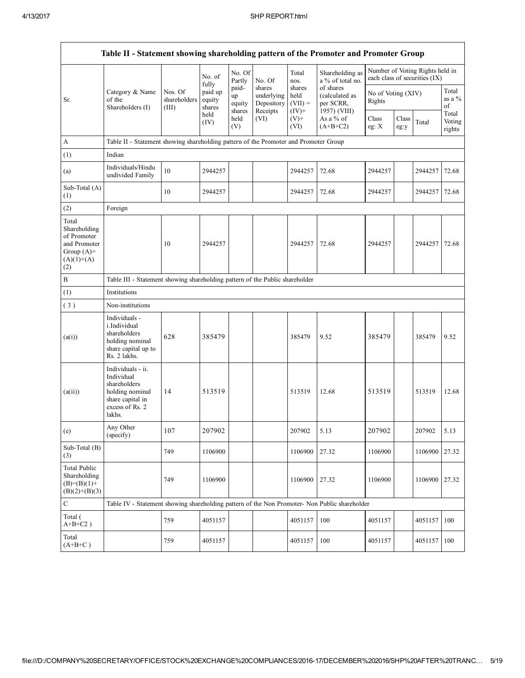| Table II - Statement showing shareholding pattern of the Promoter and Promoter Group        |                                                                                                                     |                                  |                                      |                                 |                                                |                                         |                                                          |                              |               |                                                                  |                           |
|---------------------------------------------------------------------------------------------|---------------------------------------------------------------------------------------------------------------------|----------------------------------|--------------------------------------|---------------------------------|------------------------------------------------|-----------------------------------------|----------------------------------------------------------|------------------------------|---------------|------------------------------------------------------------------|---------------------------|
|                                                                                             |                                                                                                                     |                                  | No. of                               | No. Of<br>Partly                | No. Of                                         | Total<br>nos.                           | Shareholding as<br>a % of total no.                      |                              |               | Number of Voting Rights held in<br>each class of securities (IX) |                           |
| Sr.                                                                                         | Category & Name<br>of the<br>Shareholders (I)                                                                       | Nos. Of<br>shareholders<br>(III) | fully<br>paid up<br>equity<br>shares | paid-<br>up<br>equity<br>shares | shares<br>underlying<br>Depository<br>Receipts | shares<br>held<br>$(VII) =$<br>$(IV)$ + | of shares<br>(calculated as<br>per SCRR,<br>1957) (VIII) | No of Voting (XIV)<br>Rights |               |                                                                  | Total<br>as a %<br>of     |
|                                                                                             |                                                                                                                     |                                  | held<br>(IV)                         | held<br>(V)                     | (VI)                                           | $(V)$ +<br>(VI)                         | As a $%$ of<br>$(A+B+C2)$                                | Class<br>eg: $X$             | Class<br>eg:y | Total                                                            | Total<br>Voting<br>rights |
| A                                                                                           | Table II - Statement showing shareholding pattern of the Promoter and Promoter Group                                |                                  |                                      |                                 |                                                |                                         |                                                          |                              |               |                                                                  |                           |
| (1)                                                                                         | Indian                                                                                                              |                                  |                                      |                                 |                                                |                                         |                                                          |                              |               |                                                                  |                           |
| (a)                                                                                         | Individuals/Hindu<br>undivided Family                                                                               | 10                               | 2944257                              |                                 |                                                | 2944257                                 | 72.68                                                    | 2944257                      |               | 2944257                                                          | 72.68                     |
| Sub-Total (A)<br>(1)                                                                        |                                                                                                                     | 10                               | 2944257                              |                                 |                                                | 2944257                                 | 72.68                                                    | 2944257                      |               | 2944257                                                          | 72.68                     |
| (2)                                                                                         | Foreign                                                                                                             |                                  |                                      |                                 |                                                |                                         |                                                          |                              |               |                                                                  |                           |
| Total<br>Shareholding<br>of Promoter<br>and Promoter<br>Group $(A)=$<br>$(A)(1)+(A)$<br>(2) |                                                                                                                     | 10                               | 2944257                              |                                 |                                                | 2944257                                 | 72.68                                                    | 2944257                      |               | 2944257                                                          | 72.68                     |
| В                                                                                           | Table III - Statement showing shareholding pattern of the Public shareholder                                        |                                  |                                      |                                 |                                                |                                         |                                                          |                              |               |                                                                  |                           |
| (1)                                                                                         | Institutions                                                                                                        |                                  |                                      |                                 |                                                |                                         |                                                          |                              |               |                                                                  |                           |
| (3)                                                                                         | Non-institutions                                                                                                    |                                  |                                      |                                 |                                                |                                         |                                                          |                              |               |                                                                  |                           |
| (a(i))                                                                                      | Individuals -<br>i.Individual<br>shareholders<br>holding nominal<br>share capital up to<br>Rs. 2 lakhs.             | 628                              | 385479                               |                                 |                                                | 385479                                  | 9.52                                                     | 385479                       |               | 385479                                                           | 9.52                      |
| (a(ii))                                                                                     | Individuals - ii.<br>Individual<br>shareholders<br>holding nominal<br>share capital in<br>excess of Rs. 2<br>lakhs. | 14                               | 513519                               |                                 |                                                | 513519                                  | 12.68                                                    | 513519                       |               | 513519                                                           | 12.68                     |
| (e)                                                                                         | Any Other<br>(specify)                                                                                              | 107                              | 207902                               |                                 |                                                | 207902                                  | 5.13                                                     | 207902                       |               | 207902                                                           | 5.13                      |
| Sub-Total (B)<br>(3)                                                                        |                                                                                                                     | 749                              | 1106900                              |                                 |                                                | 1106900                                 | 27.32                                                    | 1106900                      |               | 1106900                                                          | 27.32                     |
| <b>Total Public</b><br>Shareholding<br>$(B)=(B)(1)+$<br>$(B)(2)+(B)(3)$                     |                                                                                                                     | 749                              | 1106900                              |                                 |                                                | 1106900                                 | 27.32                                                    | 1106900                      |               | 1106900                                                          | 27.32                     |
| C                                                                                           | Table IV - Statement showing shareholding pattern of the Non Promoter- Non Public shareholder                       |                                  |                                      |                                 |                                                |                                         |                                                          |                              |               |                                                                  |                           |
| Total (<br>$A+B+C2$ )                                                                       |                                                                                                                     | 759                              | 4051157                              |                                 |                                                | 4051157                                 | 100                                                      | 4051157                      |               | 4051157                                                          | 100                       |
| Total<br>$(A+B+C)$                                                                          |                                                                                                                     | 759                              | 4051157                              |                                 |                                                | 4051157                                 | 100                                                      | 4051157                      |               | 4051157                                                          | 100                       |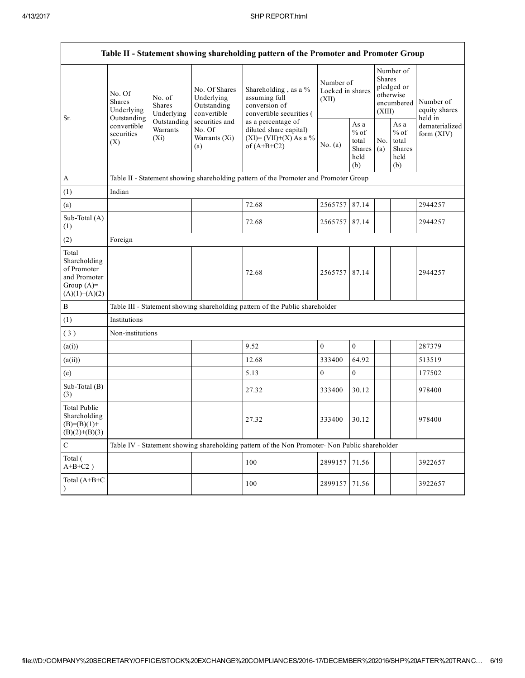Г

|                                                                                         | Table II - Statement showing shareholding pattern of the Promoter and Promoter Group |                                                                                        |                                                           |                                                                                               |                                        |                                                  |                                                                               |                                                  |                                       |  |  |  |  |
|-----------------------------------------------------------------------------------------|--------------------------------------------------------------------------------------|----------------------------------------------------------------------------------------|-----------------------------------------------------------|-----------------------------------------------------------------------------------------------|----------------------------------------|--------------------------------------------------|-------------------------------------------------------------------------------|--------------------------------------------------|---------------------------------------|--|--|--|--|
| Sr.                                                                                     | No. Of<br><b>Shares</b><br>Underlying                                                | No. of<br><b>Shares</b><br>Underlying                                                  | No. Of Shares<br>Underlying<br>Outstanding<br>convertible | Shareholding, as a %<br>assuming full<br>conversion of<br>convertible securities (            | Number of<br>Locked in shares<br>(XII) |                                                  | Number of<br><b>Shares</b><br>pledged or<br>otherwise<br>encumbered<br>(XIII) |                                                  | Number of<br>equity shares<br>held in |  |  |  |  |
|                                                                                         | Outstanding<br>convertible<br>securities<br>(X)                                      | Outstanding<br>securities and<br>Warrants<br>No. Of<br>$(X_i)$<br>Warrants (Xi)<br>(a) |                                                           | as a percentage of<br>diluted share capital)<br>$(XI)=(VII)+(X) As a %$<br>of $(A+B+C2)$      | No. (a)                                | As a<br>$%$ of<br>total<br>Shares<br>held<br>(b) | No.<br>(a)                                                                    | As a<br>$%$ of<br>total<br>Shares<br>held<br>(b) | dematerialized<br>form $(XIV)$        |  |  |  |  |
| $\mathbf{A}$                                                                            |                                                                                      |                                                                                        |                                                           | Table II - Statement showing shareholding pattern of the Promoter and Promoter Group          |                                        |                                                  |                                                                               |                                                  |                                       |  |  |  |  |
| (1)                                                                                     | Indian                                                                               |                                                                                        |                                                           |                                                                                               |                                        |                                                  |                                                                               |                                                  |                                       |  |  |  |  |
| (a)                                                                                     |                                                                                      |                                                                                        |                                                           | 72.68                                                                                         | 2565757                                | 87.14                                            |                                                                               |                                                  | 2944257                               |  |  |  |  |
| Sub-Total (A)<br>(1)                                                                    |                                                                                      |                                                                                        |                                                           | 72.68                                                                                         | 2565757 87.14                          |                                                  |                                                                               |                                                  | 2944257                               |  |  |  |  |
| (2)                                                                                     | Foreign                                                                              |                                                                                        |                                                           |                                                                                               |                                        |                                                  |                                                                               |                                                  |                                       |  |  |  |  |
| Total<br>Shareholding<br>of Promoter<br>and Promoter<br>Group $(A)=$<br>$(A)(1)+(A)(2)$ |                                                                                      |                                                                                        |                                                           | 72.68                                                                                         | 2565757 87.14                          |                                                  |                                                                               |                                                  | 2944257                               |  |  |  |  |
| $\, {\bf B}$                                                                            |                                                                                      |                                                                                        |                                                           | Table III - Statement showing shareholding pattern of the Public shareholder                  |                                        |                                                  |                                                                               |                                                  |                                       |  |  |  |  |
| (1)                                                                                     | Institutions                                                                         |                                                                                        |                                                           |                                                                                               |                                        |                                                  |                                                                               |                                                  |                                       |  |  |  |  |
| (3)                                                                                     | Non-institutions                                                                     |                                                                                        |                                                           |                                                                                               |                                        |                                                  |                                                                               |                                                  |                                       |  |  |  |  |
| (a(i))                                                                                  |                                                                                      |                                                                                        |                                                           | 9.52                                                                                          | $\boldsymbol{0}$                       | $\boldsymbol{0}$                                 |                                                                               |                                                  | 287379                                |  |  |  |  |
| (a(ii))                                                                                 |                                                                                      |                                                                                        |                                                           | 12.68                                                                                         | 333400                                 | 64.92                                            |                                                                               |                                                  | 513519                                |  |  |  |  |
| (e)                                                                                     |                                                                                      |                                                                                        |                                                           | 5.13                                                                                          | $\mathbf{0}$                           | $\boldsymbol{0}$                                 |                                                                               |                                                  | 177502                                |  |  |  |  |
| Sub-Total (B)<br>(3)                                                                    |                                                                                      |                                                                                        |                                                           | 27.32                                                                                         | 333400                                 | 30.12                                            |                                                                               |                                                  | 978400                                |  |  |  |  |
| <b>Total Public</b><br>Shareholding<br>$(B)=(B)(1)+$<br>$(B)(2)+(B)(3)$                 |                                                                                      |                                                                                        |                                                           | 27.32                                                                                         | 333400                                 | 30.12                                            |                                                                               |                                                  | 978400                                |  |  |  |  |
| $\mathbf C$                                                                             |                                                                                      |                                                                                        |                                                           | Table IV - Statement showing shareholding pattern of the Non Promoter- Non Public shareholder |                                        |                                                  |                                                                               |                                                  |                                       |  |  |  |  |
| Total (<br>$A+B+C2$ )                                                                   |                                                                                      |                                                                                        |                                                           | 100                                                                                           | 2899157                                | 71.56                                            |                                                                               |                                                  | 3922657                               |  |  |  |  |
| Total (A+B+C                                                                            |                                                                                      |                                                                                        |                                                           | 100                                                                                           | 2899157                                | 71.56                                            |                                                                               |                                                  | 3922657                               |  |  |  |  |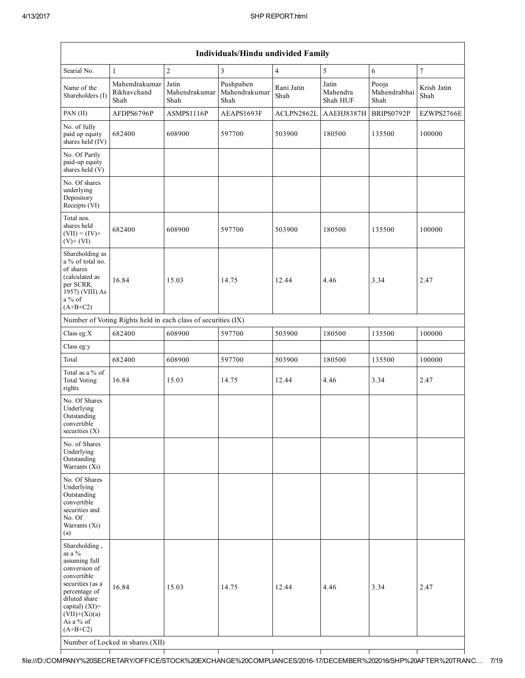$\mathsf{I}$ 

┑

Т

|                                                                                                                                                                                                   | Individuals/Hindu undivided Family                            |                                |                                    |                    |                               |                               |                     |  |  |  |  |  |  |
|---------------------------------------------------------------------------------------------------------------------------------------------------------------------------------------------------|---------------------------------------------------------------|--------------------------------|------------------------------------|--------------------|-------------------------------|-------------------------------|---------------------|--|--|--|--|--|--|
| Searial No.                                                                                                                                                                                       | $\mathbf{1}$                                                  | $\overline{2}$                 | $\overline{3}$                     | $\overline{4}$     | 5                             | 6                             | $\boldsymbol{7}$    |  |  |  |  |  |  |
| Name of the<br>Shareholders (I)                                                                                                                                                                   | Mahendrakumar<br>Rikhavchand<br>Shah                          | Jatin<br>Mahendrakumar<br>Shah | Pushpaben<br>Mahendrakumar<br>Shah | Rani Jatin<br>Shah | Jatin<br>Mahendra<br>Shah HUF | Pooja<br>Mahendrabhai<br>Shah | Krish Jatin<br>Shah |  |  |  |  |  |  |
| PAN (II)                                                                                                                                                                                          | AFDPS6796P                                                    | ASMPS1116P                     | AEAPS1693F                         | ACLPN2862L         | AAEHJ8387H                    | BRIPS0792P                    | EZWPS2766E          |  |  |  |  |  |  |
| No. of fully<br>paid up equity<br>shares held (IV)                                                                                                                                                | 682400                                                        | 608900                         | 597700                             | 503900             | 180500                        | 135500                        | 100000              |  |  |  |  |  |  |
| No. Of Partly<br>paid-up equity<br>shares held (V)                                                                                                                                                |                                                               |                                |                                    |                    |                               |                               |                     |  |  |  |  |  |  |
| No. Of shares<br>underlying<br>Depository<br>Receipts (VI)                                                                                                                                        |                                                               |                                |                                    |                    |                               |                               |                     |  |  |  |  |  |  |
| Total nos.<br>shares held<br>$(VII) = (IV) +$<br>$(V)+(VI)$                                                                                                                                       | 682400                                                        | 608900                         | 597700                             | 503900             | 180500                        | 135500                        | 100000              |  |  |  |  |  |  |
| Shareholding as<br>a % of total no.<br>of shares<br>(calculated as<br>per SCRR,<br>1957) (VIII) As<br>$a\%$ of<br>$(A+B+C2)$                                                                      | 16.84                                                         | 15.03                          | 14.75                              | 12.44              | 4.46                          | 3.34                          | 2.47                |  |  |  |  |  |  |
|                                                                                                                                                                                                   | Number of Voting Rights held in each class of securities (IX) |                                |                                    |                    |                               |                               |                     |  |  |  |  |  |  |
| Class eg:X                                                                                                                                                                                        | 682400                                                        | 608900                         | 597700                             | 503900             | 180500                        | 135500                        | 100000              |  |  |  |  |  |  |
| Class eg:y                                                                                                                                                                                        |                                                               |                                |                                    |                    |                               |                               |                     |  |  |  |  |  |  |
| Total                                                                                                                                                                                             | 682400                                                        | 608900                         | 597700                             | 503900             | 180500                        | 135500                        | 100000              |  |  |  |  |  |  |
| Total as a % of<br><b>Total Voting</b><br>rights                                                                                                                                                  | 16.84                                                         | 15.03                          | 14.75                              | 12.44              | 4.46                          | 3.34                          | 2.47                |  |  |  |  |  |  |
| No. Of Shares<br>Underlying<br>Outstanding<br>convertible<br>securities $(X)$                                                                                                                     |                                                               |                                |                                    |                    |                               |                               |                     |  |  |  |  |  |  |
| No. of Shares<br>Underlying<br>Outstanding<br>Warrants (Xi)                                                                                                                                       |                                                               |                                |                                    |                    |                               |                               |                     |  |  |  |  |  |  |
| No. Of Shares<br>Underlying<br>Outstanding<br>convertible<br>securities and<br>No. Of<br>Warrants (Xi)<br>(a)                                                                                     |                                                               |                                |                                    |                    |                               |                               |                     |  |  |  |  |  |  |
| Shareholding,<br>as a %<br>assuming full<br>conversion of<br>convertible<br>securities (as a<br>percentage of<br>diluted share<br>capital) $(XI)$ =<br>$(VII)+(Xi)(a)$<br>As a % of<br>$(A+B+C2)$ | 16.84<br>Number of Locked in shares (XII)                     | 15.03                          | 14.75                              | 12.44              | 4.46                          | 3.34                          | 2.47                |  |  |  |  |  |  |

┬

T

┰

Τ

T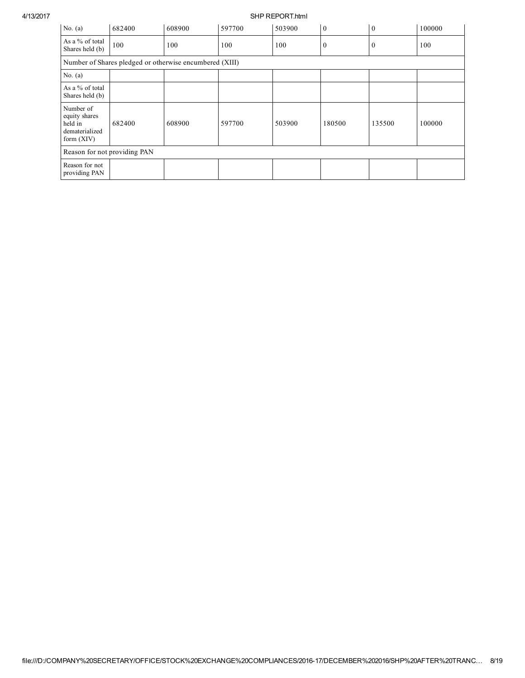4/13/2017 SHP REPORT.html

| No. $(a)$                                                               | 682400                                                  | 608900 | 597700 | 503900 | $\overline{0}$ | $\mathbf{0}$ | 100000 |
|-------------------------------------------------------------------------|---------------------------------------------------------|--------|--------|--------|----------------|--------------|--------|
| As a % of total<br>Shares held (b)                                      | 100                                                     | 100    | 100    | 100    | $\bf{0}$       | $\mathbf{0}$ | 100    |
|                                                                         | Number of Shares pledged or otherwise encumbered (XIII) |        |        |        |                |              |        |
| No. $(a)$                                                               |                                                         |        |        |        |                |              |        |
| As a % of total<br>Shares held (b)                                      |                                                         |        |        |        |                |              |        |
| Number of<br>equity shares<br>held in<br>dematerialized<br>form $(XIV)$ | 682400                                                  | 608900 | 597700 | 503900 | 180500         | 135500       | 100000 |
| Reason for not providing PAN                                            |                                                         |        |        |        |                |              |        |
| Reason for not<br>providing PAN                                         |                                                         |        |        |        |                |              |        |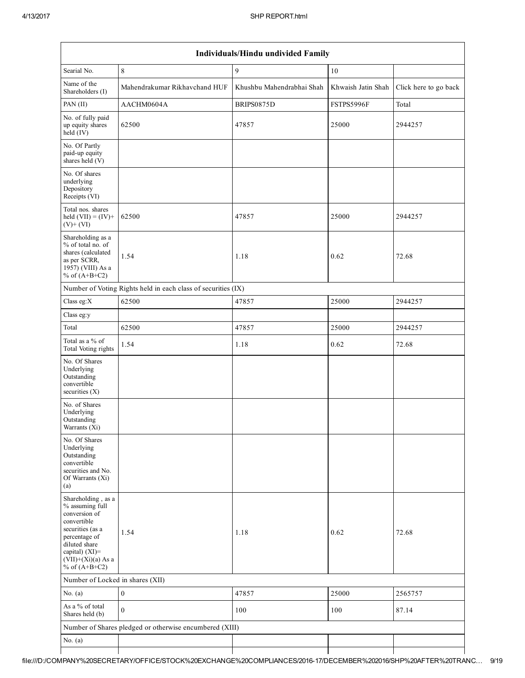| Individuals/Hindu undivided Family                                                                                                                                                       |                                                               |                           |                    |                       |  |  |  |  |  |  |  |
|------------------------------------------------------------------------------------------------------------------------------------------------------------------------------------------|---------------------------------------------------------------|---------------------------|--------------------|-----------------------|--|--|--|--|--|--|--|
| Searial No.                                                                                                                                                                              | $\,8\,$                                                       | 9                         | 10                 |                       |  |  |  |  |  |  |  |
| Name of the<br>Shareholders (I)                                                                                                                                                          | Mahendrakumar Rikhavchand HUF                                 | Khushbu Mahendrabhai Shah | Khwaish Jatin Shah | Click here to go back |  |  |  |  |  |  |  |
| PAN (II)                                                                                                                                                                                 | AACHM0604A                                                    | BRIPS0875D                | FSTPS5996F         | Total                 |  |  |  |  |  |  |  |
| No. of fully paid<br>up equity shares<br>$held$ (IV)                                                                                                                                     | 62500                                                         | 47857                     | 25000              | 2944257               |  |  |  |  |  |  |  |
| No. Of Partly<br>paid-up equity<br>shares held (V)                                                                                                                                       |                                                               |                           |                    |                       |  |  |  |  |  |  |  |
| No. Of shares<br>underlying<br>Depository<br>Receipts (VI)                                                                                                                               |                                                               |                           |                    |                       |  |  |  |  |  |  |  |
| Total nos. shares<br>held $(VII) = (IV) +$<br>$(V)+(VI)$                                                                                                                                 | 62500                                                         | 47857                     | 25000              | 2944257               |  |  |  |  |  |  |  |
| Shareholding as a<br>% of total no. of<br>shares (calculated<br>as per SCRR,<br>1957) (VIII) As a<br>% of $(A+B+C2)$                                                                     | 1.54                                                          | 1.18                      | 0.62               | 72.68                 |  |  |  |  |  |  |  |
|                                                                                                                                                                                          | Number of Voting Rights held in each class of securities (IX) |                           |                    |                       |  |  |  |  |  |  |  |
| Class eg:X                                                                                                                                                                               | 62500                                                         | 47857                     | 25000              | 2944257               |  |  |  |  |  |  |  |
| Class eg:y                                                                                                                                                                               |                                                               |                           |                    |                       |  |  |  |  |  |  |  |
| Total                                                                                                                                                                                    | 62500                                                         | 47857                     | 25000              | 2944257               |  |  |  |  |  |  |  |
| Total as a % of<br>Total Voting rights                                                                                                                                                   | 1.54                                                          | 1.18                      | 0.62               | 72.68                 |  |  |  |  |  |  |  |
| No. Of Shares<br>Underlying<br>Outstanding<br>convertible<br>securities $(X)$                                                                                                            |                                                               |                           |                    |                       |  |  |  |  |  |  |  |
| No. of Shares<br>Underlying<br>Outstanding<br>Warrants (Xi)                                                                                                                              |                                                               |                           |                    |                       |  |  |  |  |  |  |  |
| No. Of Shares<br>Underlying<br>Outstanding<br>convertible<br>securities and No.<br>Of Warrants (Xi)<br>(a)                                                                               |                                                               |                           |                    |                       |  |  |  |  |  |  |  |
| Shareholding, as a<br>% assuming full<br>conversion of<br>convertible<br>securities (as a<br>percentage of<br>diluted share<br>capital) (XI)=<br>$(VII)+(Xi)(a)$ As a<br>% of $(A+B+C2)$ | 1.54                                                          | 1.18                      | 0.62               | 72.68                 |  |  |  |  |  |  |  |
| Number of Locked in shares (XII)                                                                                                                                                         |                                                               |                           |                    |                       |  |  |  |  |  |  |  |
| No. $(a)$                                                                                                                                                                                | $\boldsymbol{0}$                                              | 47857                     | 25000              | 2565757               |  |  |  |  |  |  |  |
| As a % of total<br>Shares held (b)                                                                                                                                                       | $\Omega$                                                      | 100                       | 100                | 87.14                 |  |  |  |  |  |  |  |
|                                                                                                                                                                                          | Number of Shares pledged or otherwise encumbered (XIII)       |                           |                    |                       |  |  |  |  |  |  |  |
| No. $(a)$                                                                                                                                                                                |                                                               |                           |                    |                       |  |  |  |  |  |  |  |
|                                                                                                                                                                                          |                                                               |                           |                    |                       |  |  |  |  |  |  |  |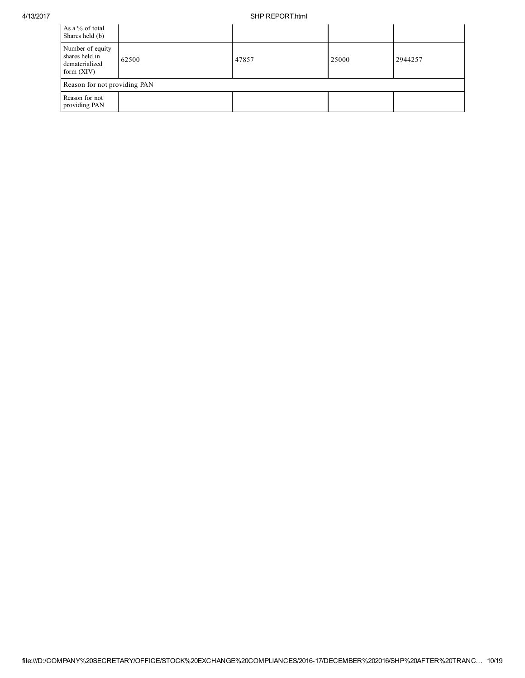## 4/13/2017 SHP REPORT.html

| As a % of total<br>Shares held (b)                                   |                              |       |       |         |  |  |  |  |  |
|----------------------------------------------------------------------|------------------------------|-------|-------|---------|--|--|--|--|--|
| Number of equity<br>shares held in<br>dematerialized<br>form $(XIV)$ | 62500                        | 47857 | 25000 | 2944257 |  |  |  |  |  |
|                                                                      | Reason for not providing PAN |       |       |         |  |  |  |  |  |
| Reason for not<br>providing PAN                                      |                              |       |       |         |  |  |  |  |  |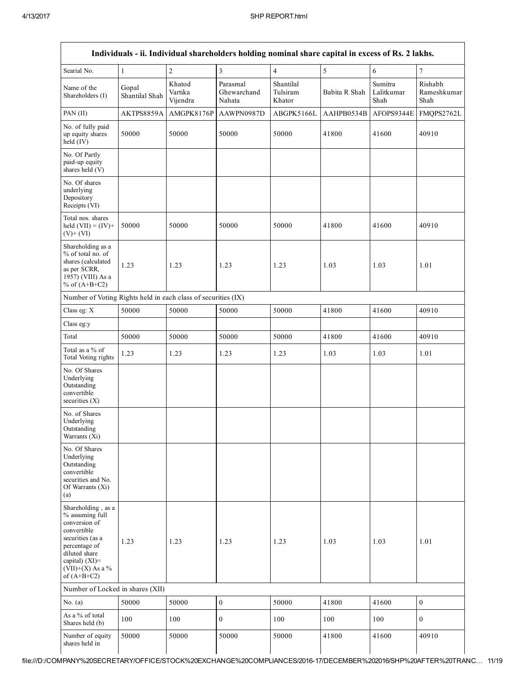|                                                                                                                                                                                         |                         |                               | Individuals - ii. Individual shareholders holding nominal share capital in excess of Rs. 2 lakhs. |                                 |               |                               |                                |
|-----------------------------------------------------------------------------------------------------------------------------------------------------------------------------------------|-------------------------|-------------------------------|---------------------------------------------------------------------------------------------------|---------------------------------|---------------|-------------------------------|--------------------------------|
| Searial No.                                                                                                                                                                             | $\mathbf{1}$            | $\sqrt{2}$                    | 3                                                                                                 | $\overline{4}$                  | $\sqrt{5}$    | 6                             | $\overline{7}$                 |
| Name of the<br>Shareholders (I)                                                                                                                                                         | Gopal<br>Shantilal Shah | Khatod<br>Vartika<br>Vijendra | Parasmal<br>Ghewarchand<br>Nahata                                                                 | Shantilal<br>Tulsiram<br>Khator | Babita R Shah | Sumitra<br>Lalitkumar<br>Shah | Rishabh<br>Rameshkumar<br>Shah |
| PAN (II)                                                                                                                                                                                | AKTPS8859A              | AMGPK8176P                    | AAWPN0987D                                                                                        | ABGPK5166L                      | AAHPB0534B    | AFOPS9344E                    | FMQPS2762L                     |
| No. of fully paid<br>up equity shares<br>held $(IV)$                                                                                                                                    | 50000                   | 50000                         | 50000                                                                                             | 50000                           | 41800         | 41600                         | 40910                          |
| No. Of Partly<br>paid-up equity<br>shares held (V)                                                                                                                                      |                         |                               |                                                                                                   |                                 |               |                               |                                |
| No. Of shares<br>underlying<br>Depository<br>Receipts (VI)                                                                                                                              |                         |                               |                                                                                                   |                                 |               |                               |                                |
| Total nos. shares<br>held $(VII) = (IV) +$<br>$(V)+(VI)$                                                                                                                                | 50000                   | 50000                         | 50000                                                                                             | 50000                           | 41800         | 41600                         | 40910                          |
| Shareholding as a<br>% of total no. of<br>shares (calculated<br>as per SCRR,<br>1957) (VIII) As a<br>% of $(A+B+C2)$                                                                    | 1.23                    | 1.23                          | 1.23                                                                                              | 1.23                            | 1.03          | 1.03                          | 1.01                           |
| Number of Voting Rights held in each class of securities (IX)                                                                                                                           |                         |                               |                                                                                                   |                                 |               |                               |                                |
| Class eg: X                                                                                                                                                                             | 50000                   | 50000                         | 50000                                                                                             | 50000                           | 41800         | 41600                         | 40910                          |
| Class eg:y                                                                                                                                                                              |                         |                               |                                                                                                   |                                 |               |                               |                                |
| Total                                                                                                                                                                                   | 50000                   | 50000                         | 50000                                                                                             | 50000                           | 41800         | 41600                         | 40910                          |
| Total as a % of<br>Total Voting rights                                                                                                                                                  | 1.23                    | 1.23                          | 1.23                                                                                              | 1.23                            | 1.03          | 1.03                          | 1.01                           |
| No. Of Shares<br>Underlying<br>Outstanding<br>convertible<br>securities $(X)$                                                                                                           |                         |                               |                                                                                                   |                                 |               |                               |                                |
| No. of Shares<br>Underlying<br>Outstanding<br>Warrants (Xi)                                                                                                                             |                         |                               |                                                                                                   |                                 |               |                               |                                |
| No. Of Shares<br>Underlying<br>Outstanding<br>convertible<br>securities and No.<br>Of Warrants (Xi)<br>(a)                                                                              |                         |                               |                                                                                                   |                                 |               |                               |                                |
| Shareholding, as a<br>% assuming full<br>conversion of<br>convertible<br>securities (as a<br>percentage of<br>diluted share<br>capital) $(XI)$ =<br>$(VII)+(X)$ As a %<br>of $(A+B+C2)$ | 1.23                    | 1.23                          | 1.23                                                                                              | 1.23                            | 1.03          | 1.03                          | 1.01                           |
| Number of Locked in shares (XII)                                                                                                                                                        |                         |                               |                                                                                                   |                                 |               |                               |                                |
| No. $(a)$                                                                                                                                                                               | 50000                   | 50000                         | $\mathbf{0}$                                                                                      | 50000                           | 41800         | 41600                         | $\mathbf{0}$                   |
| As a % of total<br>Shares held (b)                                                                                                                                                      | 100                     | 100                           | $\boldsymbol{0}$                                                                                  | 100                             | 100           | 100                           | $\mathbf{0}$                   |
| Number of equity<br>shares held in                                                                                                                                                      | 50000                   | 50000                         | 50000                                                                                             | 50000                           | 41800         | 41600                         | 40910                          |

file:///D:/COMPANY%20SECRETARY/OFFICE/STOCK%20EXCHANGE%20COMPLIANCES/201617/DECEMBER%202016/SHP%20AFTER%20TRANC… 11/19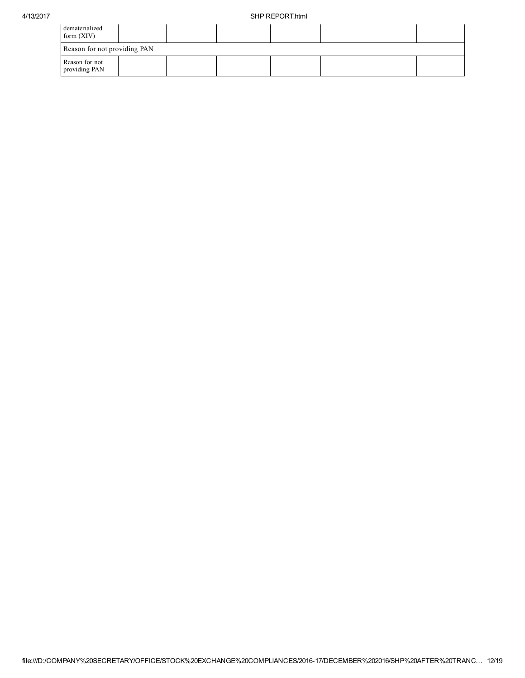| dematerialized<br>form $(XIV)$  |  |  |  |  |  |  |  |  |  |  |
|---------------------------------|--|--|--|--|--|--|--|--|--|--|
| Reason for not providing PAN    |  |  |  |  |  |  |  |  |  |  |
| Reason for not<br>providing PAN |  |  |  |  |  |  |  |  |  |  |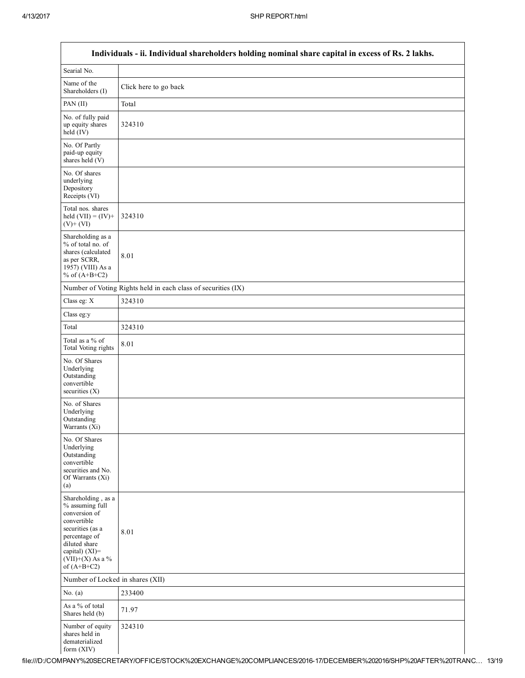| Individuals - ii. Individual shareholders holding nominal share capital in excess of Rs. 2 lakhs.                                                                                    |                                                               |  |  |  |
|--------------------------------------------------------------------------------------------------------------------------------------------------------------------------------------|---------------------------------------------------------------|--|--|--|
| Searial No.                                                                                                                                                                          |                                                               |  |  |  |
| Name of the<br>Shareholders (I)                                                                                                                                                      | Click here to go back                                         |  |  |  |
| PAN (II)                                                                                                                                                                             | Total                                                         |  |  |  |
| No. of fully paid<br>up equity shares<br>$held$ (IV)                                                                                                                                 | 324310                                                        |  |  |  |
| No. Of Partly<br>paid-up equity<br>shares held $(V)$                                                                                                                                 |                                                               |  |  |  |
| No. Of shares<br>underlying<br>Depository<br>Receipts (VI)                                                                                                                           |                                                               |  |  |  |
| Total nos. shares<br>held $(VII) = (IV) +$<br>$(V)$ + $(VI)$                                                                                                                         | 324310                                                        |  |  |  |
| Shareholding as a<br>% of total no. of<br>shares (calculated<br>as per SCRR,<br>1957) (VIII) As a<br>% of $(A+B+C2)$                                                                 | 8.01                                                          |  |  |  |
|                                                                                                                                                                                      | Number of Voting Rights held in each class of securities (IX) |  |  |  |
| Class eg: X                                                                                                                                                                          | 324310                                                        |  |  |  |
| Class eg:y                                                                                                                                                                           |                                                               |  |  |  |
| Total                                                                                                                                                                                | 324310                                                        |  |  |  |
| Total as a % of<br>Total Voting rights                                                                                                                                               | 8.01                                                          |  |  |  |
| No. Of Shares<br>Underlying<br>Outstanding<br>convertible<br>securities (X)                                                                                                          |                                                               |  |  |  |
| No. of Shares<br>Underlying<br>Outstanding<br>Warrants (Xi)                                                                                                                          |                                                               |  |  |  |
| No. Of Shares<br>Underlying<br>Outstanding<br>convertible<br>securities and No.<br>Of Warrants (Xi)<br>(a)                                                                           |                                                               |  |  |  |
| Shareholding, as a<br>% assuming full<br>conversion of<br>convertible<br>securities (as a<br>percentage of<br>diluted share<br>capital) (XI)=<br>$(VII)+(X)$ As a %<br>of $(A+B+C2)$ | 8.01                                                          |  |  |  |
| Number of Locked in shares (XII)                                                                                                                                                     |                                                               |  |  |  |
| No. $(a)$                                                                                                                                                                            | 233400                                                        |  |  |  |
| As a % of total<br>Shares held (b)                                                                                                                                                   | 71.97                                                         |  |  |  |
| Number of equity<br>shares held in<br>dematerialized<br>form (XIV)                                                                                                                   | 324310                                                        |  |  |  |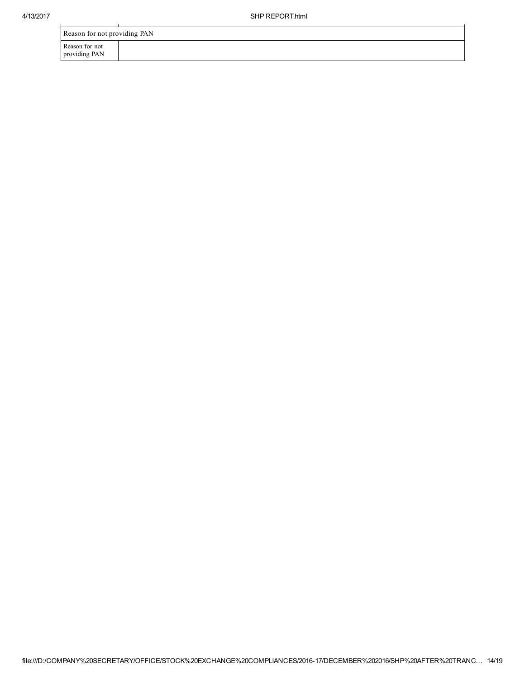$\mathcal{L}$ 

| Reason for not providing PAN    |  |  |  |  |
|---------------------------------|--|--|--|--|
| Reason for not<br>providing PAN |  |  |  |  |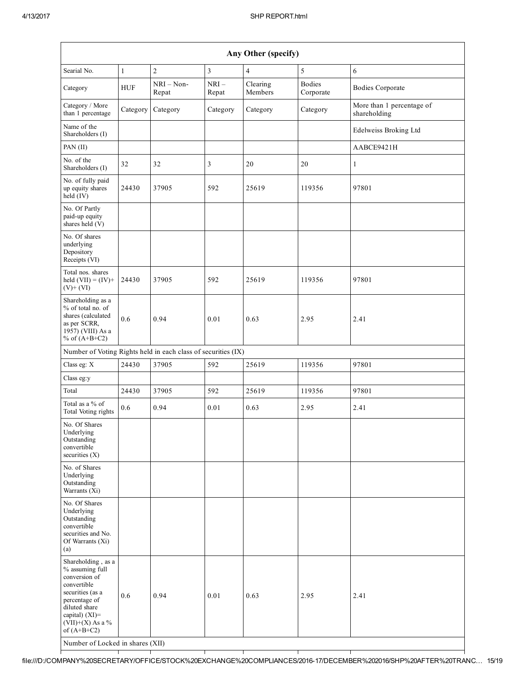| Any Other (specify)                                                                                                                                                                                                         |              |                   |                 |                     |                            |                                           |
|-----------------------------------------------------------------------------------------------------------------------------------------------------------------------------------------------------------------------------|--------------|-------------------|-----------------|---------------------|----------------------------|-------------------------------------------|
| Searial No.                                                                                                                                                                                                                 | $\mathbf{1}$ | $\overline{c}$    | 3               | $\overline{4}$      | 5                          | 6                                         |
| Category                                                                                                                                                                                                                    | <b>HUF</b>   | NRI-Non-<br>Repat | $NRI-$<br>Repat | Clearing<br>Members | <b>Bodies</b><br>Corporate | <b>Bodies Corporate</b>                   |
| Category / More<br>than 1 percentage                                                                                                                                                                                        | Category     | Category          | Category        | Category            | Category                   | More than 1 percentage of<br>shareholding |
| Name of the<br>Shareholders (I)                                                                                                                                                                                             |              |                   |                 |                     |                            | Edelweiss Broking Ltd                     |
| PAN (II)                                                                                                                                                                                                                    |              |                   |                 |                     |                            | AABCE9421H                                |
| No. of the<br>Shareholders (I)                                                                                                                                                                                              | 32           | 32                | 3               | 20                  | 20                         | $\mathbf{1}$                              |
| No. of fully paid<br>up equity shares<br>held (IV)                                                                                                                                                                          | 24430        | 37905             | 592             | 25619               | 119356                     | 97801                                     |
| No. Of Partly<br>paid-up equity<br>shares held (V)                                                                                                                                                                          |              |                   |                 |                     |                            |                                           |
| No. Of shares<br>underlying<br>Depository<br>Receipts (VI)                                                                                                                                                                  |              |                   |                 |                     |                            |                                           |
| Total nos. shares<br>held $(VII) = (IV) +$<br>$(V)$ + $(VI)$                                                                                                                                                                | 24430        | 37905             | 592             | 25619               | 119356                     | 97801                                     |
| Shareholding as a<br>% of total no. of<br>shares (calculated<br>as per SCRR,<br>1957) (VIII) As a<br>% of $(A+B+C2)$                                                                                                        | 0.6          | 0.94              | 0.01            | 0.63                | 2.95                       | 2.41                                      |
| Number of Voting Rights held in each class of securities (IX)                                                                                                                                                               |              |                   |                 |                     |                            |                                           |
| Class eg: X                                                                                                                                                                                                                 | 24430        | 37905             | 592             | 25619               | 119356                     | 97801                                     |
| Class eg:y                                                                                                                                                                                                                  |              |                   |                 |                     |                            |                                           |
| Total                                                                                                                                                                                                                       | 24430        | 37905             | 592             | 25619               | 119356                     | 97801                                     |
| Total as a % of<br>Total Voting rights                                                                                                                                                                                      | 0.6          | 0.94              | 0.01            | 0.63                | 2.95                       | 2.41                                      |
| No. Of Shares<br>Underlying<br>Outstanding<br>convertible<br>securities $(X)$                                                                                                                                               |              |                   |                 |                     |                            |                                           |
| No. of Shares<br>Underlying<br>Outstanding<br>Warrants (Xi)                                                                                                                                                                 |              |                   |                 |                     |                            |                                           |
| No. Of Shares<br>Underlying<br>Outstanding<br>convertible<br>securities and No.<br>Of Warrants (Xi)<br>(a)                                                                                                                  |              |                   |                 |                     |                            |                                           |
| Shareholding, as a<br>% assuming full<br>conversion of<br>convertible<br>securities (as a<br>percentage of<br>diluted share<br>capital) $(XI)$ =<br>$(VII)+(X)$ As a %<br>of $(A+B+C2)$<br>Number of Locked in shares (XII) | 0.6          | 0.94              | 0.01            | 0.63                | 2.95                       | 2.41                                      |

file:///D:/COMPANY%20SECRETARY/OFFICE/STOCK%20EXCHANGE%20COMPLIANCES/201617/DECEMBER%202016/SHP%20AFTER%20TRANC… 15/19

┯

┯

┯

┯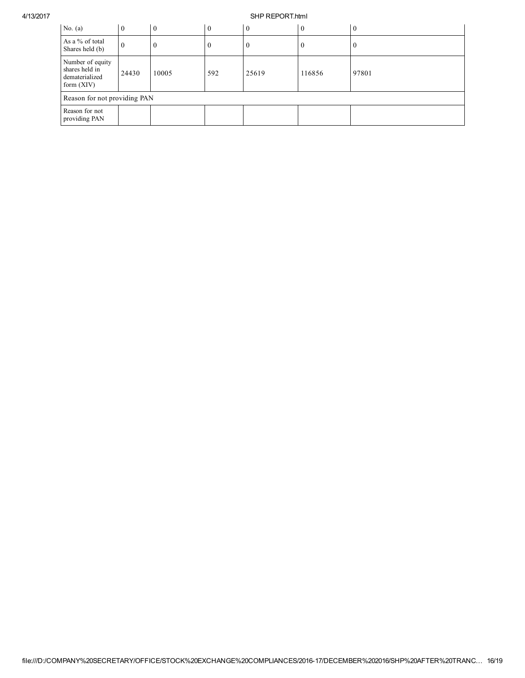## 4/13/2017 SHP REPORT.html

| No. $(a)$                                                            | $\mathbf{0}$ | $\mathbf{0}$ | $\overline{0}$ | $\boldsymbol{0}$ | $\overline{0}$ | $\boldsymbol{0}$ |
|----------------------------------------------------------------------|--------------|--------------|----------------|------------------|----------------|------------------|
| As a % of total<br>Shares held (b)                                   | $\theta$     | $\bf{0}$     | $\bf{0}$       | $\bf{0}$         | $\mathbf{0}$   | U                |
| Number of equity<br>shares held in<br>dematerialized<br>form $(XIV)$ | 24430        | 10005        | 592            | 25619            | 116856         | 97801            |
| Reason for not providing PAN                                         |              |              |                |                  |                |                  |
| Reason for not<br>providing PAN                                      |              |              |                |                  |                |                  |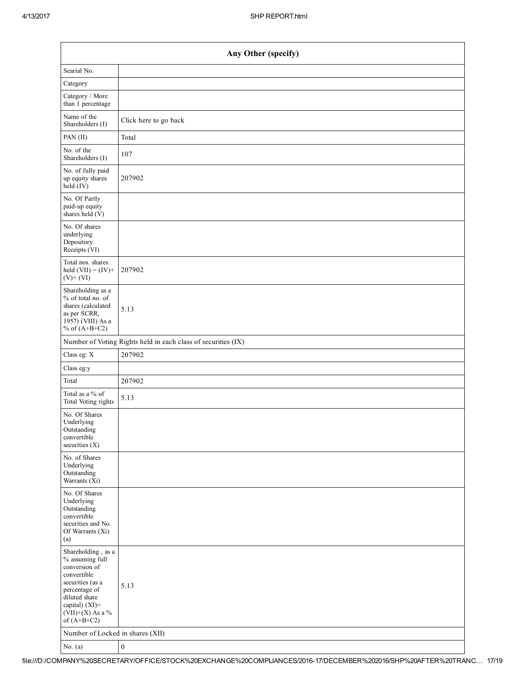| Any Other (specify)                                                                                                                                                                  |                                                               |  |  |  |  |  |  |
|--------------------------------------------------------------------------------------------------------------------------------------------------------------------------------------|---------------------------------------------------------------|--|--|--|--|--|--|
| Searial No.                                                                                                                                                                          |                                                               |  |  |  |  |  |  |
| Category                                                                                                                                                                             |                                                               |  |  |  |  |  |  |
| Category / More<br>than 1 percentage                                                                                                                                                 |                                                               |  |  |  |  |  |  |
| Name of the<br>Shareholders (I)                                                                                                                                                      | Click here to go back                                         |  |  |  |  |  |  |
| PAN (II)                                                                                                                                                                             | Total                                                         |  |  |  |  |  |  |
| No. of the<br>Shareholders (I)                                                                                                                                                       | 107                                                           |  |  |  |  |  |  |
| No. of fully paid<br>up equity shares<br>$held$ (IV)                                                                                                                                 | 207902                                                        |  |  |  |  |  |  |
| No. Of Partly<br>paid-up equity<br>shares held $(V)$                                                                                                                                 |                                                               |  |  |  |  |  |  |
| No. Of shares<br>underlying<br>Depository<br>Receipts (VI)                                                                                                                           |                                                               |  |  |  |  |  |  |
| Total nos. shares<br>held $(VII) = (IV) +$<br>$(V)$ + $(VI)$                                                                                                                         | 207902                                                        |  |  |  |  |  |  |
| Shareholding as a<br>% of total no. of<br>shares (calculated<br>as per SCRR,<br>1957) (VIII) As a<br>% of $(A+B+C2)$                                                                 | 5.13                                                          |  |  |  |  |  |  |
|                                                                                                                                                                                      | Number of Voting Rights held in each class of securities (IX) |  |  |  |  |  |  |
| Class eg: X                                                                                                                                                                          | 207902                                                        |  |  |  |  |  |  |
| Class eg:y                                                                                                                                                                           |                                                               |  |  |  |  |  |  |
| Total                                                                                                                                                                                | 207902                                                        |  |  |  |  |  |  |
| Total as a % of<br>Total Voting rights                                                                                                                                               | 5.13                                                          |  |  |  |  |  |  |
| No. Of Shares<br>Underlying<br>Outstanding<br>convertible<br>securities $(X)$                                                                                                        |                                                               |  |  |  |  |  |  |
| No. of Shares<br>Underlying<br>Outstanding<br>Warrants (Xi)                                                                                                                          |                                                               |  |  |  |  |  |  |
| No. Of Shares<br>Underlying<br>Outstanding<br>convertible<br>securities and No.<br>Of Warrants (Xi)<br>(a)                                                                           |                                                               |  |  |  |  |  |  |
| Shareholding, as a<br>% assuming full<br>conversion of<br>convertible<br>securities (as a<br>percentage of<br>diluted share<br>capital) (XI)=<br>$(VII)+(X)$ As a %<br>of $(A+B+C2)$ | 5.13                                                          |  |  |  |  |  |  |
| Number of Locked in shares (XII)                                                                                                                                                     |                                                               |  |  |  |  |  |  |
| No. $(a)$                                                                                                                                                                            | $\boldsymbol{0}$                                              |  |  |  |  |  |  |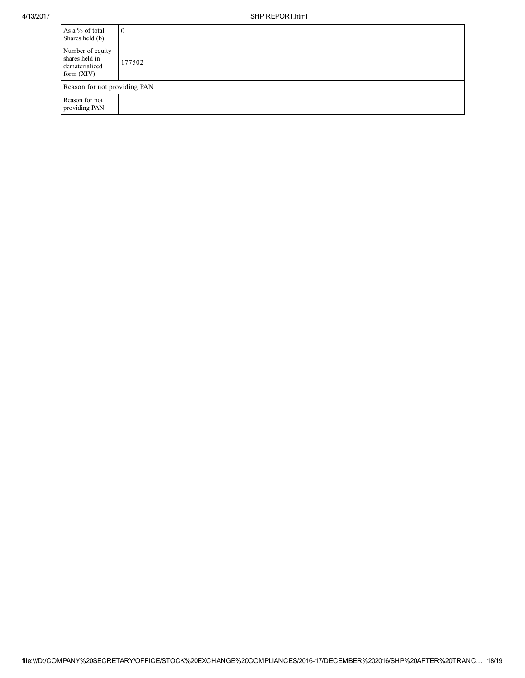| As a % of total<br>Shares held (b)                                   | $\theta$ |
|----------------------------------------------------------------------|----------|
| Number of equity<br>shares held in<br>dematerialized<br>form $(XIV)$ | 177502   |
| Reason for not providing PAN                                         |          |
| Reason for not<br>providing PAN                                      |          |